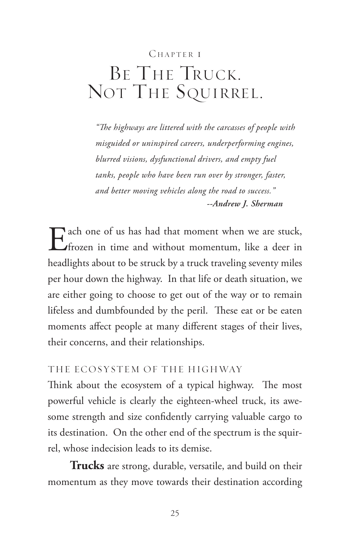# C HAPTER 1 BE THE TRUCK.<br>NOT THE SQUIRREL.

"The highways are littered with the carcasses of people with *misguided or uninspired careers, underperforming engines, blurred visions, dysfunctional drivers, and empty fuel tanks, people who have been run over by stronger, faster, and better moving vehicles along the road to success." --Andrew J. Sherman*

 $\Gamma$  ach one of us has had that moment when we are stuck, frozen in time and without momentum, like a deer in headlights about to be struck by a truck traveling seventy miles per hour down the highway. In that life or death situation, we are either going to choose to get out of the way or to remain lifeless and dumbfounded by the peril. These eat or be eaten moments affect people at many different stages of their lives, their concerns, and their relationships.

#### THE ECOSYSTEM OF THE HIGHWAY

Think about the ecosystem of a typical highway. The most powerful vehicle is clearly the eighteen-wheel truck, its awesome strength and size confidently carrying valuable cargo to its destination. On the other end of the spectrum is the squirrel, whose indecision leads to its demise.

**Trucks** are strong, durable, versatile, and build on their momentum as they move towards their destination according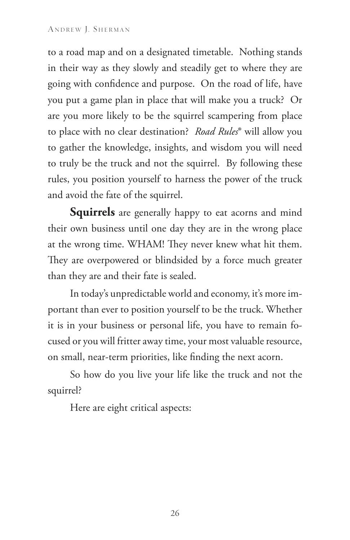to a road map and on a designated timetable. Nothing stands in their way as they slowly and steadily get to where they are going with confidence and purpose. On the road of life, have you put a game plan in place that will make you a truck? Or are you more likely to be the squirrel scampering from place to place with no clear destination? *Road Rules***®** will allow you to gather the knowledge, insights, and wisdom you will need to truly be the truck and not the squirrel. By following these rules, you position yourself to harness the power of the truck and avoid the fate of the squirrel.

**Squirrels** are generally happy to eat acorns and mind their own business until one day they are in the wrong place at the wrong time. WHAM! They never knew what hit them. They are overpowered or blindsided by a force much greater than they are and their fate is sealed.

In today's unpredictable world and economy, it's more important than ever to position yourself to be the truck. Whether it is in your business or personal life, you have to remain focused or you will fritter away time, your most valuable resource, on small, near-term priorities, like finding the next acorn.

So how do you live your life like the truck and not the squirrel?

Here are eight critical aspects: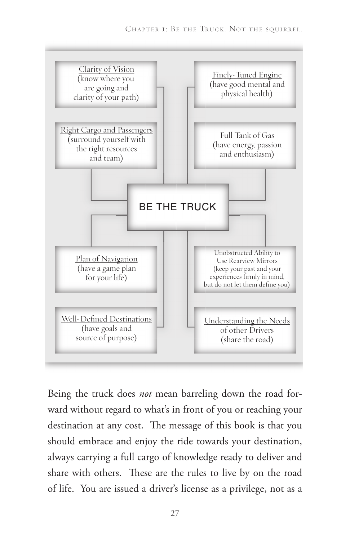

Being the truck does *not* mean barreling down the road forward without regard to what's in front of you or reaching your destination at any cost. The message of this book is that you should embrace and enjoy the ride towards your destination, always carrying a full cargo of knowledge ready to deliver and share with others. These are the rules to live by on the road of life. You are issued a driver's license as a privilege, not as a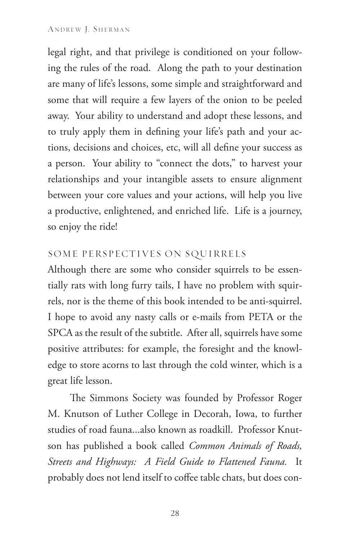legal right, and that privilege is conditioned on your following the rules of the road. Along the path to your destination are many of life's lessons, some simple and straightforward and some that will require a few layers of the onion to be peeled away. Your ability to understand and adopt these lessons, and to truly apply them in defining your life's path and your actions, decisions and choices, etc, will all define your success as a person. Your ability to "connect the dots," to harvest your relationships and your intangible assets to ensure alignment between your core values and your actions, will help you live a productive, enlightened, and enriched life. Life is a journey, so enjoy the ride!

### SOME PERSPECTIVES ON SQUIRRELS

Although there are some who consider squirrels to be essentially rats with long furry tails, I have no problem with squirrels, nor is the theme of this book intended to be anti-squirrel. I hope to avoid any nasty calls or e-mails from PETA or the SPCA as the result of the subtitle. After all, squirrels have some positive attributes: for example, the foresight and the knowledge to store acorns to last through the cold winter, which is a great life lesson.

The Simmons Society was founded by Professor Roger M. Knutson of Luther College in Decorah, Iowa, to further studies of road fauna...also known as roadkill. Professor Knutson has published a book called *Common Animals of Roads, Streets and Highways: A Field Guide to Flattened Fauna.* It probably does not lend itself to coffee table chats, but does con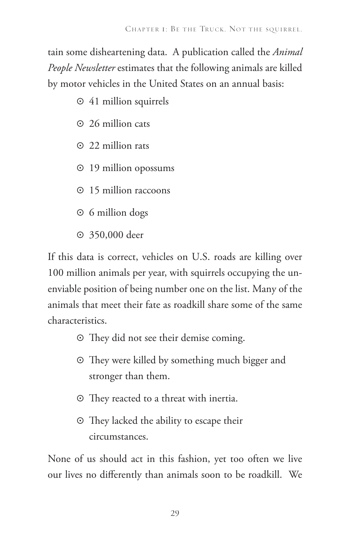tain some disheartening data. A publication called the *Animal People Newsletter* estimates that the following animals are killed by motor vehicles in the United States on an annual basis:

- 41 million squirrels
- 26 million cats
- 22 million rats
- 19 million opossums
- 15 million raccoons
- 6 million dogs
- 350,000 deer

If this data is correct, vehicles on U.S. roads are killing over 100 million animals per year, with squirrels occupying the unenviable position of being number one on the list. Many of the animals that meet their fate as roadkill share some of the same characteristics.

- $\odot$  They did not see their demise coming.
- $\odot$  They were killed by something much bigger and stronger than them.
- $\odot$  They reacted to a threat with inertia.
- $\odot$  They lacked the ability to escape their circumstances.

None of us should act in this fashion, yet too often we live our lives no differently than animals soon to be roadkill. We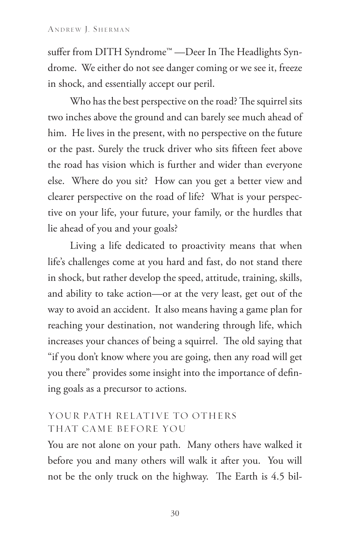#### ANDREW J. SHERMAN

suffer from DITH Syndrome™ - Deer In The Headlights Syndrome. We either do not see danger coming or we see it, freeze in shock, and essentially accept our peril.

Who has the best perspective on the road? The squirrel sits two inches above the ground and can barely see much ahead of him. He lives in the present, with no perspective on the future or the past. Surely the truck driver who sits fifteen feet above the road has vision which is further and wider than everyone else. Where do you sit? How can you get a better view and clearer perspective on the road of life? What is your perspective on your life, your future, your family, or the hurdles that lie ahead of you and your goals?

Living a life dedicated to proactivity means that when life's challenges come at you hard and fast, do not stand there in shock, but rather develop the speed, attitude, training, skills, and ability to take action—or at the very least, get out of the way to avoid an accident. It also means having a game plan for reaching your destination, not wandering through life, which increases your chances of being a squirrel. The old saying that "if you don't know where you are going, then any road will get you there" provides some insight into the importance of defining goals as a precursor to actions.

## YOUR PATH RELATIVE TO OTHERS THAT CAME BEFORE YOU

You are not alone on your path. Many others have walked it before you and many others will walk it after you. You will not be the only truck on the highway. The Earth is 4.5 bil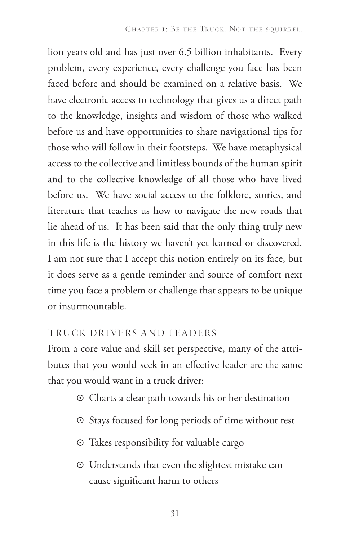lion years old and has just over 6.5 billion inhabitants. Every problem, every experience, every challenge you face has been faced before and should be examined on a relative basis. We have electronic access to technology that gives us a direct path to the knowledge, insights and wisdom of those who walked before us and have opportunities to share navigational tips for those who will follow in their footsteps. We have metaphysical access to the collective and limitless bounds of the human spirit and to the collective knowledge of all those who have lived before us. We have social access to the folklore, stories, and literature that teaches us how to navigate the new roads that lie ahead of us. It has been said that the only thing truly new in this life is the history we haven't yet learned or discovered. I am not sure that I accept this notion entirely on its face, but it does serve as a gentle reminder and source of comfort next time you face a problem or challenge that appears to be unique or insurmountable.

#### TRUCK DRIVERS AND LEADERS

From a core value and skill set perspective, many of the attributes that you would seek in an effective leader are the same that you would want in a truck driver:

- Charts a clear path towards his or her destination
- $\odot$  Stays focused for long periods of time without rest
- Takes responsibility for valuable cargo
- Understands that even the slightest mistake can cause significant harm to others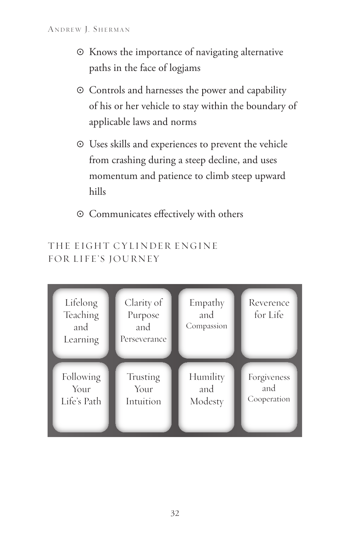- $\odot$  Knows the importance of navigating alternative paths in the face of logjams
- Controls and harnesses the power and capability of his or her vehicle to stay within the boundary of applicable laws and norms
- Uses skills and experiences to prevent the vehicle from crashing during a steep decline, and uses momentum and patience to climb steep upward hills
- $\odot$  Communicates effectively with others

# THE EIGHT CYLINDER ENGINE FOR LIFE'S JOURNEY

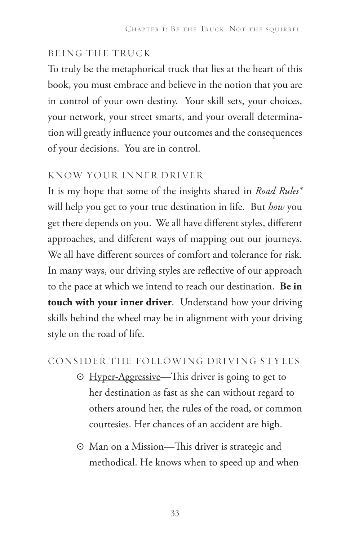#### BEING THE TRUCK

To truly be the metaphorical truck that lies at the heart of this book, you must embrace and believe in the notion that you are in control of your own destiny. Your skill sets, your choices, your network, your street smarts, and your overall determination will greatly influence your outcomes and the consequences of your decisions. You are in control.

#### KNOW YOUR INNER DRIVER

It is my hope that some of the insights shared in *Road Rules®*  will help you get to your true destination in life. But *how* you get there depends on you. We all have different styles, different approaches, and different ways of mapping out our journeys. We all have different sources of comfort and tolerance for risk. In many ways, our driving styles are reflective of our approach to the pace at which we intend to reach our destination. **Be in touch with your inner driver**. Understand how your driving skills behind the wheel may be in alignment with your driving style on the road of life.

### CONSIDER THE FOLLOWING DRIVING STYLES:

- ⊙ Hyper-Aggressive—This driver is going to get to her destination as fast as she can without regard to others around her, the rules of the road, or common courtesies. Her chances of an accident are high.
- $\odot$  <u>Man on a Mission</u>—This driver is strategic and methodical. He knows when to speed up and when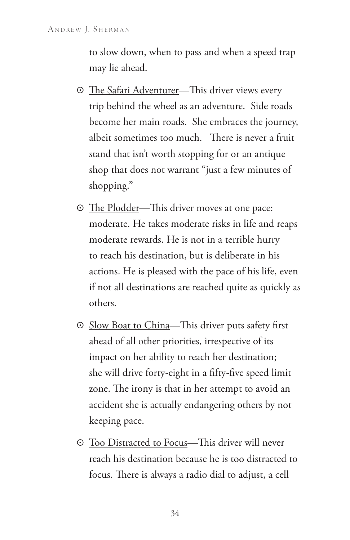to slow down, when to pass and when a speed trap may lie ahead.

- ⊙ The Safari Adventurer—This driver views every trip behind the wheel as an adventure. Side roads become her main roads. She embraces the journey, albeit sometimes too much. There is never a fruit stand that isn't worth stopping for or an antique shop that does not warrant "just a few minutes of shopping."
- $\odot$  The Plodder—This driver moves at one pace: moderate. He takes moderate risks in life and reaps moderate rewards. He is not in a terrible hurry to reach his destination, but is deliberate in his actions. He is pleased with the pace of his life, even if not all destinations are reached quite as quickly as others.
- O Slow Boat to China-This driver puts safety first ahead of all other priorities, irrespective of its impact on her ability to reach her destination; she will drive forty-eight in a fifty-five speed limit zone. The irony is that in her attempt to avoid an accident she is actually endangering others by not keeping pace.
- $\odot$  Too Distracted to Focus—This driver will never reach his destination because he is too distracted to focus. There is always a radio dial to adjust, a cell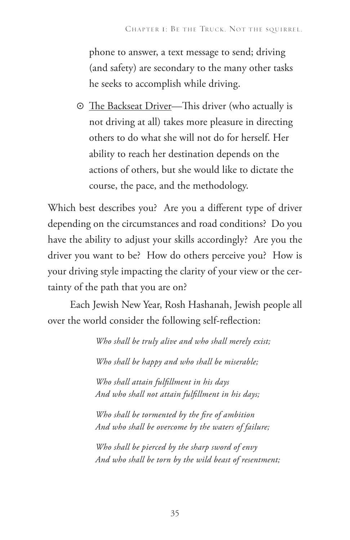phone to answer, a text message to send; driving (and safety) are secondary to the many other tasks he seeks to accomplish while driving.

 $\odot$  The Backseat Driver—This driver (who actually is not driving at all) takes more pleasure in directing others to do what she will not do for herself. Her ability to reach her destination depends on the actions of others, but she would like to dictate the course, the pace, and the methodology.

Which best describes you? Are you a different type of driver depending on the circumstances and road conditions? Do you have the ability to adjust your skills accordingly? Are you the driver you want to be? How do others perceive you? How is your driving style impacting the clarity of your view or the certainty of the path that you are on?

Each Jewish New Year, Rosh Hashanah, Jewish people all over the world consider the following self-reflection:

*Who shall be truly alive and who shall merely exist;*

*Who shall be happy and who shall be miserable;*

*Who shall attain fulfi llment in his days And who shall not attain fulfi llment in his days;*

*Who shall be tormented by the fi re of ambition And who shall be overcome by the waters of failure;*

*Who shall be pierced by the sharp sword of envy And who shall be torn by the wild beast of resentment;*